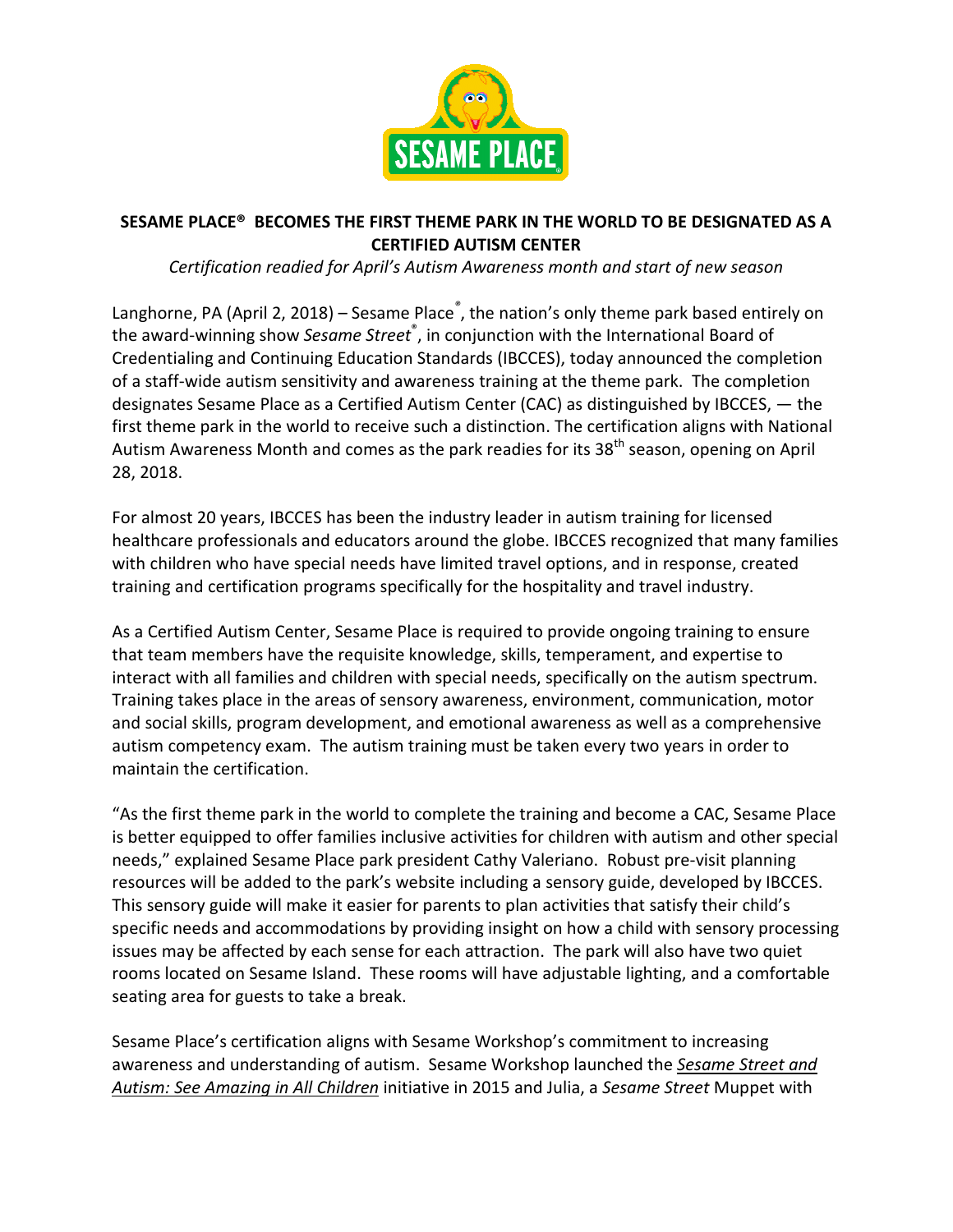

# SESAME PLACE® BECOMES THE FIRST THEME PARK IN THE WORLD TO BE DESIGNATED AS A CERTIFIED AUTISM CENTER

Certification readied for April's Autism Awareness month and start of new season

Langhorne, PA (April 2, 2018) – Sesame Place<sup>®</sup>, the nation's only theme park based entirely on the award-winning show Sesame Street<sup>®</sup>, in conjunction with the International Board of Credentialing and Continuing Education Standards (IBCCES), today announced the completion of a staff-wide autism sensitivity and awareness training at the theme park. The completion designates Sesame Place as a Certified Autism Center (CAC) as distinguished by IBCCES, — the first theme park in the world to receive such a distinction. The certification aligns with National Autism Awareness Month and comes as the park readies for its 38<sup>th</sup> season, opening on April 28, 2018.

For almost 20 years, IBCCES has been the industry leader in autism training for licensed healthcare professionals and educators around the globe. IBCCES recognized that many families with children who have special needs have limited travel options, and in response, created training and certification programs specifically for the hospitality and travel industry.

As a Certified Autism Center, Sesame Place is required to provide ongoing training to ensure that team members have the requisite knowledge, skills, temperament, and expertise to interact with all families and children with special needs, specifically on the autism spectrum. Training takes place in the areas of sensory awareness, environment, communication, motor and social skills, program development, and emotional awareness as well as a comprehensive autism competency exam. The autism training must be taken every two years in order to maintain the certification.

"As the first theme park in the world to complete the training and become a CAC, Sesame Place is better equipped to offer families inclusive activities for children with autism and other special needs," explained Sesame Place park president Cathy Valeriano. Robust pre-visit planning resources will be added to the park's website including a sensory guide, developed by IBCCES. This sensory guide will make it easier for parents to plan activities that satisfy their child's specific needs and accommodations by providing insight on how a child with sensory processing issues may be affected by each sense for each attraction. The park will also have two quiet rooms located on Sesame Island. These rooms will have adjustable lighting, and a comfortable seating area for guests to take a break.

Sesame Place's certification aligns with Sesame Workshop's commitment to increasing awareness and understanding of autism. Sesame Workshop launched the Sesame Street and Autism: See Amazing in All Children initiative in 2015 and Julia, a Sesame Street Muppet with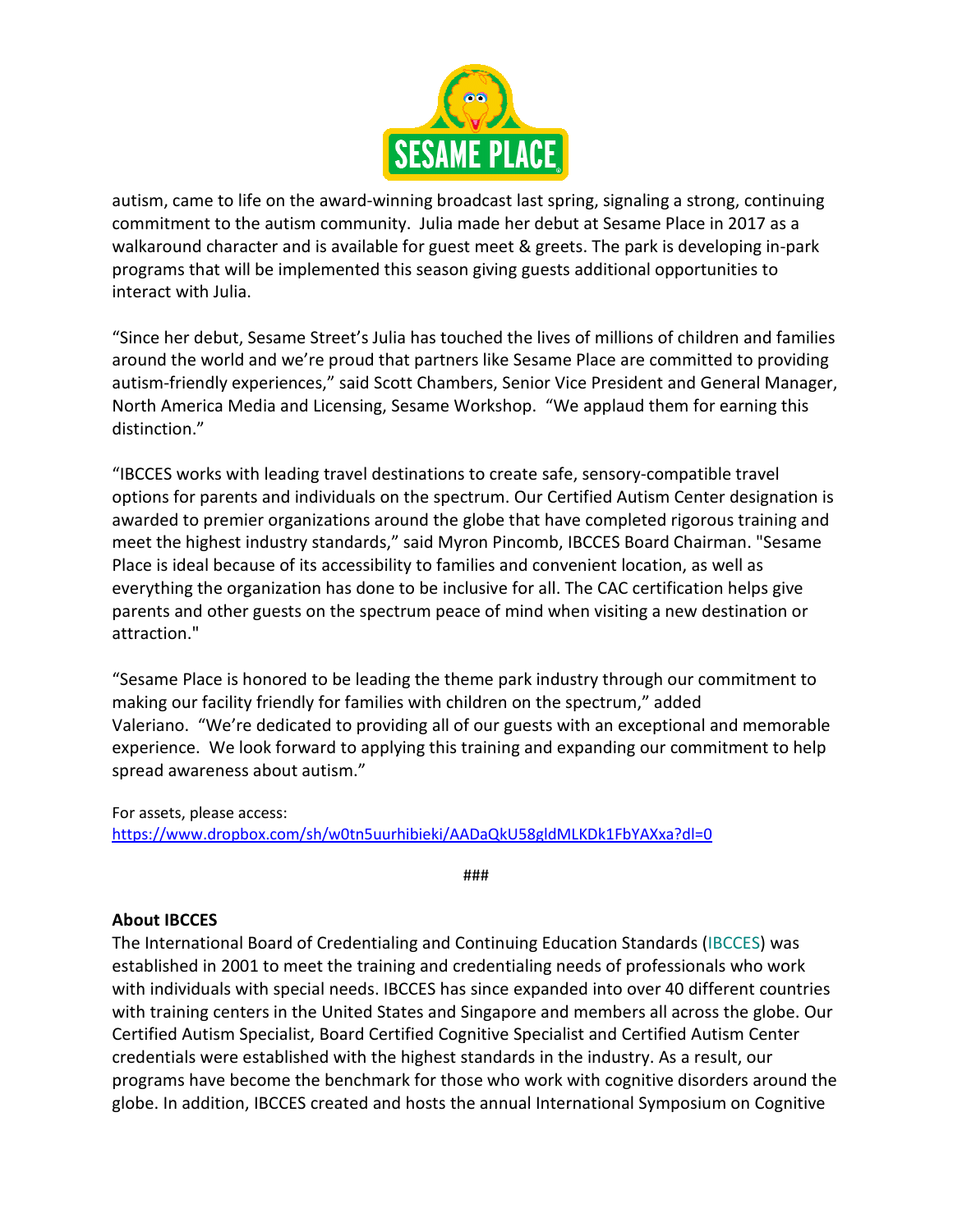

autism, came to life on the award-winning broadcast last spring, signaling a strong, continuing commitment to the autism community. Julia made her debut at Sesame Place in 2017 as a walkaround character and is available for guest meet & greets. The park is developing in-park programs that will be implemented this season giving guests additional opportunities to interact with Julia.

"Since her debut, Sesame Street's Julia has touched the lives of millions of children and families around the world and we're proud that partners like Sesame Place are committed to providing autism-friendly experiences," said Scott Chambers, Senior Vice President and General Manager, North America Media and Licensing, Sesame Workshop. "We applaud them for earning this distinction."

"IBCCES works with leading travel destinations to create safe, sensory-compatible travel options for parents and individuals on the spectrum. Our Certified Autism Center designation is awarded to premier organizations around the globe that have completed rigorous training and meet the highest industry standards," said Myron Pincomb, IBCCES Board Chairman. "Sesame Place is ideal because of its accessibility to families and convenient location, as well as everything the organization has done to be inclusive for all. The CAC certification helps give parents and other guests on the spectrum peace of mind when visiting a new destination or attraction."

"Sesame Place is honored to be leading the theme park industry through our commitment to making our facility friendly for families with children on the spectrum," added Valeriano. "We're dedicated to providing all of our guests with an exceptional and memorable experience. We look forward to applying this training and expanding our commitment to help spread awareness about autism."

For assets, please access: https://www.dropbox.com/sh/w0tn5uurhibieki/AADaQkU58gldMLKDk1FbYAXxa?dl=0

###

## About IBCCES

The International Board of Credentialing and Continuing Education Standards (IBCCES) was established in 2001 to meet the training and credentialing needs of professionals who work with individuals with special needs. IBCCES has since expanded into over 40 different countries with training centers in the United States and Singapore and members all across the globe. Our Certified Autism Specialist, Board Certified Cognitive Specialist and Certified Autism Center credentials were established with the highest standards in the industry. As a result, our programs have become the benchmark for those who work with cognitive disorders around the globe. In addition, IBCCES created and hosts the annual International Symposium on Cognitive